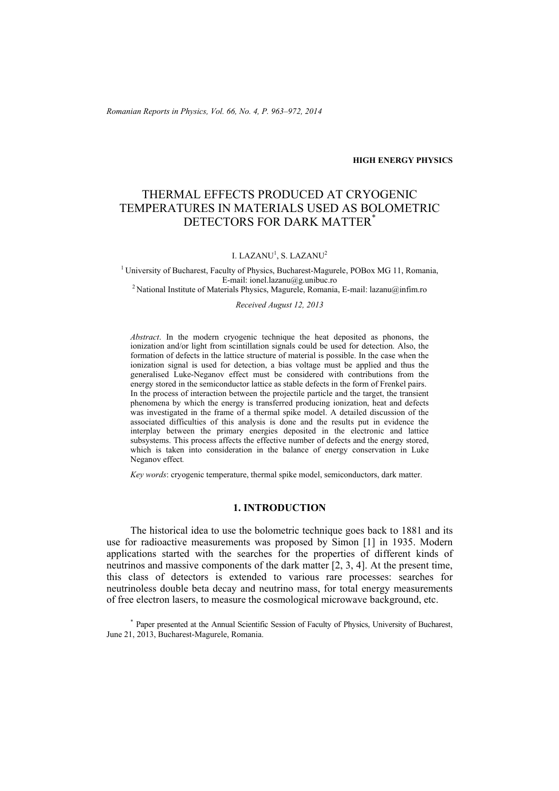*Romanian Reports in Physics, Vol. 66, No. 4, P. 963–972, 2014*

**HIGH ENERGY PHYSICS**

# THERMAL EFFECTS PRODUCED AT CRYOGENIC TEMPERATURES IN MATERIALS USED AS BOLOMETRIC DETECTORS FOR DARK MATTER\*

I. LAZANU<sup>1</sup>, S. LAZANU<sup>2</sup>

<sup>1</sup> University of Bucharest, Faculty of Physics, Bucharest-Magurele, POBox MG 11, Romania, E-mail: ionel.lazanu@g.unibuc.ro <sup>2</sup> National Institute of Materials Physics, Magurele, Romania, E-mail: lazanu@infim.ro

*Received August 12, 2013* 

*Abstract*. In the modern cryogenic technique the heat deposited as phonons, the ionization and/or light from scintillation signals could be used for detection. Also, the formation of defects in the lattice structure of material is possible. In the case when the ionization signal is used for detection, a bias voltage must be applied and thus the generalised Luke-Neganov effect must be considered with contributions from the energy stored in the semiconductor lattice as stable defects in the form of Frenkel pairs. In the process of interaction between the projectile particle and the target, the transient phenomena by which the energy is transferred producing ionization, heat and defects was investigated in the frame of a thermal spike model. A detailed discussion of the associated difficulties of this analysis is done and the results put in evidence the interplay between the primary energies deposited in the electronic and lattice subsystems. This process affects the effective number of defects and the energy stored, which is taken into consideration in the balance of energy conservation in Luke Neganov effect*.*

*Key words*: cryogenic temperature, thermal spike model, semiconductors, dark matter.

# **1. INTRODUCTION**

The historical idea to use the bolometric technique goes back to 1881 and its use for radioactive measurements was proposed by Simon [1] in 1935. Modern applications started with the searches for the properties of different kinds of neutrinos and massive components of the dark matter [2, 3, 4]. At the present time, this class of detectors is extended to various rare processes: searches for neutrinoless double beta decay and neutrino mass, for total energy measurements of free electron lasers, to measure the cosmological microwave background, etc.

\* Paper presented at the Annual Scientific Session of Faculty of Physics, University of Bucharest, June 21, 2013, Bucharest-Magurele, Romania.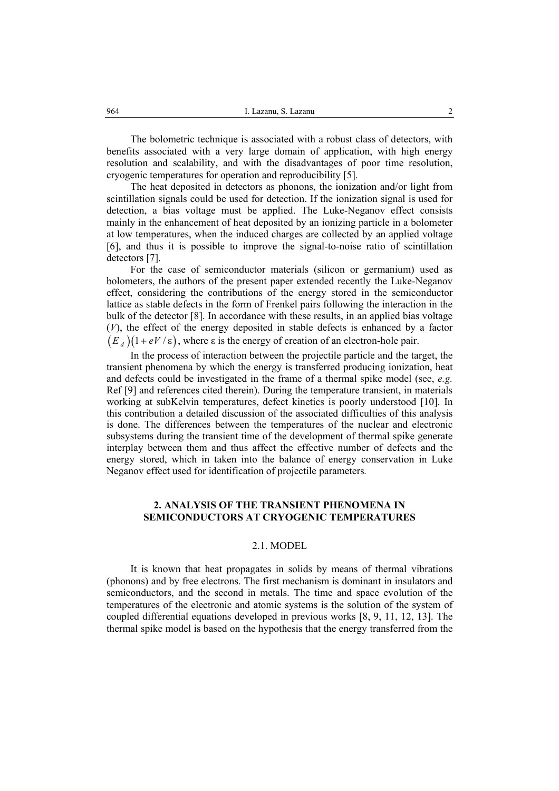The bolometric technique is associated with a robust class of detectors, with benefits associated with a very large domain of application, with high energy resolution and scalability, and with the disadvantages of poor time resolution, cryogenic temperatures for operation and reproducibility [5].

The heat deposited in detectors as phonons, the ionization and/or light from scintillation signals could be used for detection. If the ionization signal is used for detection, a bias voltage must be applied. The Luke-Neganov effect consists mainly in the enhancement of heat deposited by an ionizing particle in a bolometer at low temperatures, when the induced charges are collected by an applied voltage [6], and thus it is possible to improve the signal-to-noise ratio of scintillation detectors [7].

For the case of semiconductor materials (silicon or germanium) used as bolometers, the authors of the present paper extended recently the Luke-Neganov effect, considering the contributions of the energy stored in the semiconductor lattice as stable defects in the form of Frenkel pairs following the interaction in the bulk of the detector [8]. In accordance with these results, in an applied bias voltage (*V*), the effect of the energy deposited in stable defects is enhanced by a factor  $(E_d)(1+eV/\varepsilon)$ , where  $\varepsilon$  is the energy of creation of an electron-hole pair.

In the process of interaction between the projectile particle and the target, the transient phenomena by which the energy is transferred producing ionization, heat and defects could be investigated in the frame of a thermal spike model (see, *e.g.* Ref [9] and references cited therein). During the temperature transient, in materials working at subKelvin temperatures, defect kinetics is poorly understood [10]. In this contribution a detailed discussion of the associated difficulties of this analysis is done. The differences between the temperatures of the nuclear and electronic subsystems during the transient time of the development of thermal spike generate interplay between them and thus affect the effective number of defects and the energy stored, which in taken into the balance of energy conservation in Luke Neganov effect used for identification of projectile parameters*.* 

# **2. ANALYSIS OF THE TRANSIENT PHENOMENA IN SEMICONDUCTORS AT CRYOGENIC TEMPERATURES**

#### 2.1. MODEL

It is known that heat propagates in solids by means of thermal vibrations (phonons) and by free electrons. The first mechanism is dominant in insulators and semiconductors, and the second in metals. The time and space evolution of the temperatures of the electronic and atomic systems is the solution of the system of coupled differential equations developed in previous works [8, 9, 11, 12, 13]. The thermal spike model is based on the hypothesis that the energy transferred from the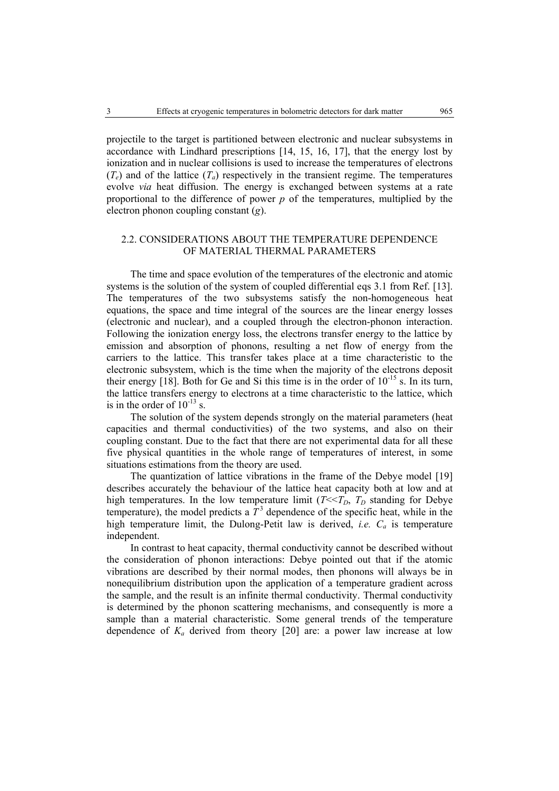projectile to the target is partitioned between electronic and nuclear subsystems in accordance with Lindhard prescriptions [14, 15, 16, 17], that the energy lost by ionization and in nuclear collisions is used to increase the temperatures of electrons  $(T_e)$  and of the lattice  $(T_a)$  respectively in the transient regime. The temperatures evolve *via* heat diffusion. The energy is exchanged between systems at a rate proportional to the difference of power *p* of the temperatures, multiplied by the electron phonon coupling constant (*g*).

### 2.2. CONSIDERATIONS ABOUT THE TEMPERATURE DEPENDENCE OF MATERIAL THERMAL PARAMETERS

The time and space evolution of the temperatures of the electronic and atomic systems is the solution of the system of coupled differential eqs 3.1 from Ref. [13]. The temperatures of the two subsystems satisfy the non-homogeneous heat equations, the space and time integral of the sources are the linear energy losses (electronic and nuclear), and a coupled through the electron-phonon interaction. Following the ionization energy loss, the electrons transfer energy to the lattice by emission and absorption of phonons, resulting a net flow of energy from the carriers to the lattice. This transfer takes place at a time characteristic to the electronic subsystem, which is the time when the majority of the electrons deposit their energy [18]. Both for Ge and Si this time is in the order of  $10^{-15}$  s. In its turn, the lattice transfers energy to electrons at a time characteristic to the lattice, which is in the order of  $10^{-13}$  s.

The solution of the system depends strongly on the material parameters (heat capacities and thermal conductivities) of the two systems, and also on their coupling constant. Due to the fact that there are not experimental data for all these five physical quantities in the whole range of temperatures of interest, in some situations estimations from the theory are used.

The quantization of lattice vibrations in the frame of the Debye model [19] describes accurately the behaviour of the lattice heat capacity both at low and at high temperatures. In the low temperature limit  $(T \le T_D, T_D$  standing for Debye temperature), the model predicts a  $T<sup>3</sup>$  dependence of the specific heat, while in the high temperature limit, the Dulong-Petit law is derived, *i.e. Ca* is temperature independent.

In contrast to heat capacity, thermal conductivity cannot be described without the consideration of phonon interactions: Debye pointed out that if the atomic vibrations are described by their normal modes, then phonons will always be in nonequilibrium distribution upon the application of a temperature gradient across the sample, and the result is an infinite thermal conductivity. Thermal conductivity is determined by the phonon scattering mechanisms, and consequently is more a sample than a material characteristic. Some general trends of the temperature dependence of  $K_a$  derived from theory [20] are: a power law increase at low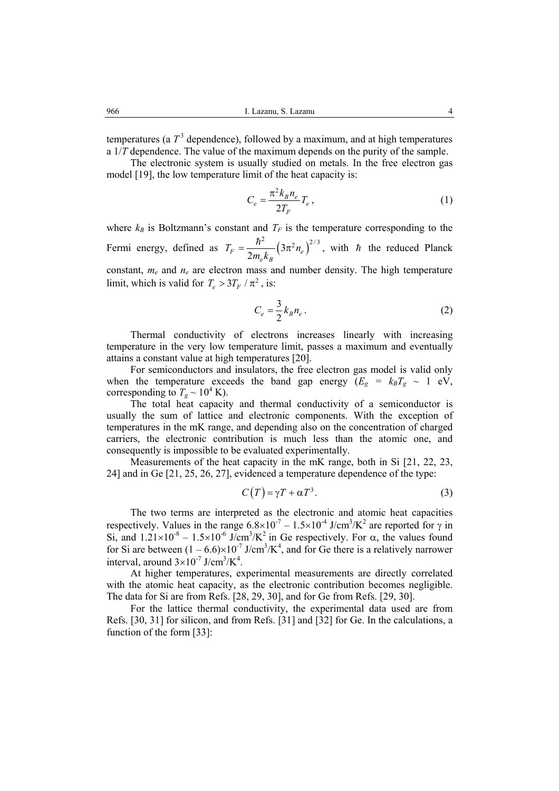temperatures (a  $T<sup>3</sup>$  dependence), followed by a maximum, and at high temperatures a 1/*T* dependence. The value of the maximum depends on the purity of the sample.

The electronic system is usually studied on metals. In the free electron gas model [19], the low temperature limit of the heat capacity is:

$$
C_e = \frac{\pi^2 k_B n_e}{2T_F} T_e , \qquad (1)
$$

where  $k_B$  is Boltzmann's constant and  $T_F$  is the temperature corresponding to the Fermi energy, defined as  $T_F = \frac{\hbar^2}{2} (3\pi^2 n_e)^{2/3}$  $F = \frac{1}{2 m_e k_B} (\mu \cdot m_e)$  $T_F = \frac{n}{2} (3\pi^2 n)$  $m_{\rho} k$  $=\frac{\hbar^2}{2m} (3\pi^2 n_e)^{2/3}$ , with  $\hbar$  the reduced Planck constant,  $m_e$  and  $n_e$  are electron mass and number density. The high temperature limit, which is valid for  $T_e > 3 T_F / \pi^2$ , is:

$$
C_e = \frac{3}{2} k_B n_e \,. \tag{2}
$$

Thermal conductivity of electrons increases linearly with increasing temperature in the very low temperature limit, passes a maximum and eventually attains a constant value at high temperatures [20].

For semiconductors and insulators, the free electron gas model is valid only when the temperature exceeds the band gap energy  $(E_g = k_B T_g \sim 1 \text{ eV})$ , corresponding to  $T_g \sim 10^4$  K).

The total heat capacity and thermal conductivity of a semiconductor is usually the sum of lattice and electronic components. With the exception of temperatures in the mK range, and depending also on the concentration of charged carriers, the electronic contribution is much less than the atomic one, and consequently is impossible to be evaluated experimentally.

Measurements of the heat capacity in the mK range, both in Si [21, 22, 23, 24] and in Ge [21, 25, 26, 27], evidenced a temperature dependence of the type:

$$
C(T) = \gamma T + \alpha T^3. \tag{3}
$$

The two terms are interpreted as the electronic and atomic heat capacities respectively. Values in the range  $6.8 \times 10^{-7} - 1.5 \times 10^{-4}$  J/cm<sup>3</sup>/K<sup>2</sup> are reported for  $\gamma$  in Si, and  $1.21 \times 10^{-8} - 1.5 \times 10^{-6}$  J/cm<sup>3</sup>/K<sup>2</sup> in Ge respectively. For  $\alpha$ , the values found for Si are between  $(1 - 6.6) \times 10^{-7}$  J/cm<sup>3</sup>/K<sup>4</sup>, and for Ge there is a relatively narrower interval, around  $3 \times 10^{-7}$  J/cm<sup>3</sup>/K<sup>4</sup>.

At higher temperatures, experimental measurements are directly correlated with the atomic heat capacity, as the electronic contribution becomes negligible. The data for Si are from Refs. [28, 29, 30], and for Ge from Refs. [29, 30].

For the lattice thermal conductivity, the experimental data used are from Refs. [30, 31] for silicon, and from Refs. [31] and [32] for Ge. In the calculations, a function of the form [33]: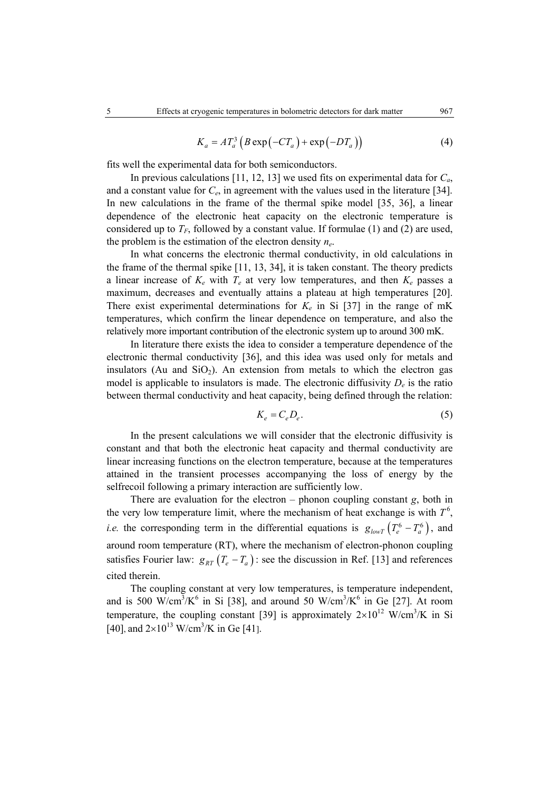$$
K_a = AT_a^3 \left( B \exp\left(-CT_a\right) + \exp\left(-DT_a\right) \right) \tag{4}
$$

fits well the experimental data for both semiconductors.

In previous calculations [11, 12, 13] we used fits on experimental data for *Ca*, and a constant value for *Ce*, in agreement with the values used in the literature [34]. In new calculations in the frame of the thermal spike model [35, 36], a linear dependence of the electronic heat capacity on the electronic temperature is considered up to  $T_F$ , followed by a constant value. If formulae (1) and (2) are used, the problem is the estimation of the electron density *ne*.

In what concerns the electronic thermal conductivity, in old calculations in the frame of the thermal spike [11, 13, 34], it is taken constant. The theory predicts a linear increase of  $K_e$  with  $T_e$  at very low temperatures, and then  $K_e$  passes a maximum, decreases and eventually attains a plateau at high temperatures [20]. There exist experimental determinations for  $K_e$  in Si [37] in the range of mK temperatures, which confirm the linear dependence on temperature, and also the relatively more important contribution of the electronic system up to around 300 mK.

In literature there exists the idea to consider a temperature dependence of the electronic thermal conductivity [36], and this idea was used only for metals and insulators (Au and  $SiO<sub>2</sub>$ ). An extension from metals to which the electron gas model is applicable to insulators is made. The electronic diffusivity  $D_e$  is the ratio between thermal conductivity and heat capacity, being defined through the relation:

$$
K_e = C_e D_e. \tag{5}
$$

In the present calculations we will consider that the electronic diffusivity is constant and that both the electronic heat capacity and thermal conductivity are linear increasing functions on the electron temperature, because at the temperatures attained in the transient processes accompanying the loss of energy by the selfrecoil following a primary interaction are sufficiently low.

There are evaluation for the electron – phonon coupling constant *g*, both in the very low temperature limit, where the mechanism of heat exchange is with  $T^6$ , *i.e.* the corresponding term in the differential equations is  $g_{lowT} (T_e^6 - T_a^6)$ , and around room temperature (RT), where the mechanism of electron-phonon coupling satisfies Fourier law:  $g_{RT}(T_e - T_a)$ : see the discussion in Ref. [13] and references cited therein.

The coupling constant at very low temperatures, is temperature independent, and is 500 W/cm<sup>3</sup>/K<sup>6</sup> in Si [38], and around 50 W/cm<sup>3</sup>/K<sup>6</sup> in Ge [27]. At room temperature, the coupling constant [39] is approximately  $2\times10^{12}$  W/cm<sup>3</sup>/K in Si [40], and  $2 \times 10^{13}$  W/cm<sup>3</sup>/K in Ge [41].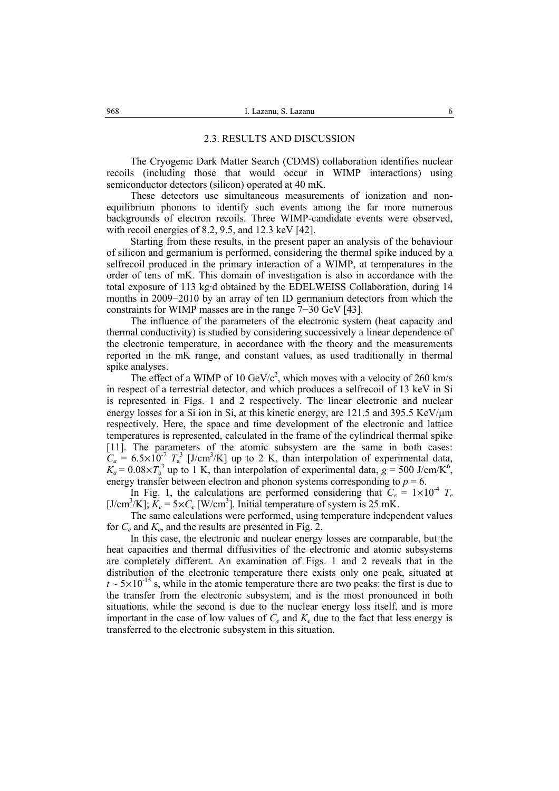#### 2.3. RESULTS AND DISCUSSION

The Cryogenic Dark Matter Search (CDMS) collaboration identifies nuclear recoils (including those that would occur in WIMP interactions) using semiconductor detectors (silicon) operated at 40 mK.

These detectors use simultaneous measurements of ionization and nonequilibrium phonons to identify such events among the far more numerous backgrounds of electron recoils. Three WIMP-candidate events were observed, with recoil energies of 8.2, 9.5, and 12.3 keV [42].

Starting from these results, in the present paper an analysis of the behaviour of silicon and germanium is performed, considering the thermal spike induced by a selfrecoil produced in the primary interaction of a WIMP, at temperatures in the order of tens of mK. This domain of investigation is also in accordance with the total exposure of 113 kg·d obtained by the EDELWEISS Collaboration, during 14 months in 2009−2010 by an array of ten ID germanium detectors from which the constraints for WIMP masses are in the range 7−30 GeV [43].

The influence of the parameters of the electronic system (heat capacity and thermal conductivity) is studied by considering successively a linear dependence of the electronic temperature, in accordance with the theory and the measurements reported in the mK range, and constant values, as used traditionally in thermal spike analyses.

The effect of a WIMP of 10  $GeV/c^2$ , which moves with a velocity of 260 km/s in respect of a terrestrial detector, and which produces a selfrecoil of 13 keV in Si is represented in Figs. 1 and 2 respectively. The linear electronic and nuclear energy losses for a Si ion in Si, at this kinetic energy, are 121.5 and 395.5 KeV/ $\mu$ m respectively. Here, the space and time development of the electronic and lattice temperatures is represented, calculated in the frame of the cylindrical thermal spike [11]. The parameters of the atomic subsystem are the same in both cases:  $C_a = 6.5 \times 10^{-7} T_a^3$  [J/cm<sup>3</sup>/K] up to 2 K, than interpolation of experimental data,  $K_a = 0.08 \times T_a^3$  up to 1 K, than interpolation of experimental data,  $g = 500$  J/cm/K<sup>6</sup>, energy transfer between electron and phonon systems corresponding to  $p = 6$ .

In Fig. 1, the calculations are performed considering that  $C_e = 1 \times 10^{-4}$   $T_e$ [J/cm<sup>3</sup>/K];  $K_e = 5 \times C_e$  [W/cm<sup>3</sup>]. Initial temperature of system is 25 mK.

The same calculations were performed, using temperature independent values for *Ce* and *Ke*, and the results are presented in Fig. 2.

In this case, the electronic and nuclear energy losses are comparable, but the heat capacities and thermal diffusivities of the electronic and atomic subsystems are completely different. An examination of Figs. 1 and 2 reveals that in the distribution of the electronic temperature there exists only one peak, situated at  $t \sim 5 \times 10^{-15}$  s, while in the atomic temperature there are two peaks: the first is due to the transfer from the electronic subsystem, and is the most pronounced in both situations, while the second is due to the nuclear energy loss itself, and is more important in the case of low values of  $C_e$  and  $K_e$  due to the fact that less energy is transferred to the electronic subsystem in this situation.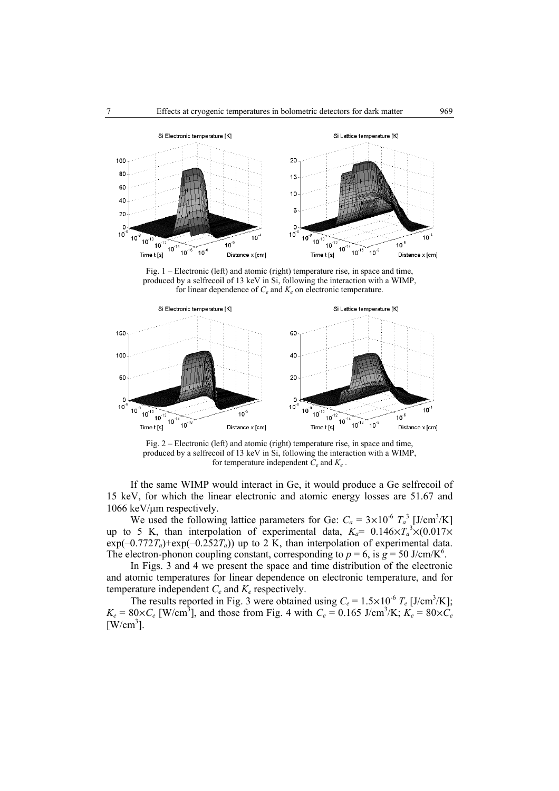

Fig. 1 – Electronic (left) and atomic (right) temperature rise, in space and time, produced by a selfrecoil of 13 keV in Si, following the interaction with a WIMP, for linear dependence of  $C_e$  and  $K_e$  on electronic temperature.



Fig. 2 – Electronic (left) and atomic (right) temperature rise, in space and time, produced by a selfrecoil of 13 keV in Si, following the interaction with a WIMP, for temperature independent *Ce* and *Ke* .

If the same WIMP would interact in Ge, it would produce a Ge selfrecoil of 15 keV, for which the linear electronic and atomic energy losses are 51.67 and 1066 keV/µm respectively.

We used the following lattice parameters for Ge:  $C_a = 3 \times 10^{-6} T_a^3$  [J/cm<sup>3</sup>/K] up to 5 K, than interpolation of experimental data,  $K_a = 0.146 \times T_a^3 \times (0.017 \times T_a)$  $exp(-0.772T_a)$ + $exp(-0.252T_a)$ ) up to 2 K, than interpolation of experimental data. The electron-phonon coupling constant, corresponding to  $p = 6$ , is  $g = 50$  J/cm/K<sup>6</sup>.

In Figs. 3 and 4 we present the space and time distribution of the electronic and atomic temperatures for linear dependence on electronic temperature, and for temperature independent *Ce* and *Ke* respectively.

The results reported in Fig. 3 were obtained using  $C_e = 1.5 \times 10^{-6} T_e$  [J/cm<sup>3</sup>/K];  $K_e = 80 \times C_e$  [W/cm<sup>3</sup>], and those from Fig. 4 with  $C_e = 0.165$  J/cm<sup>3</sup>/K;  $K_e = 80 \times C_e$  $[$ W/cm<sup>3</sup>].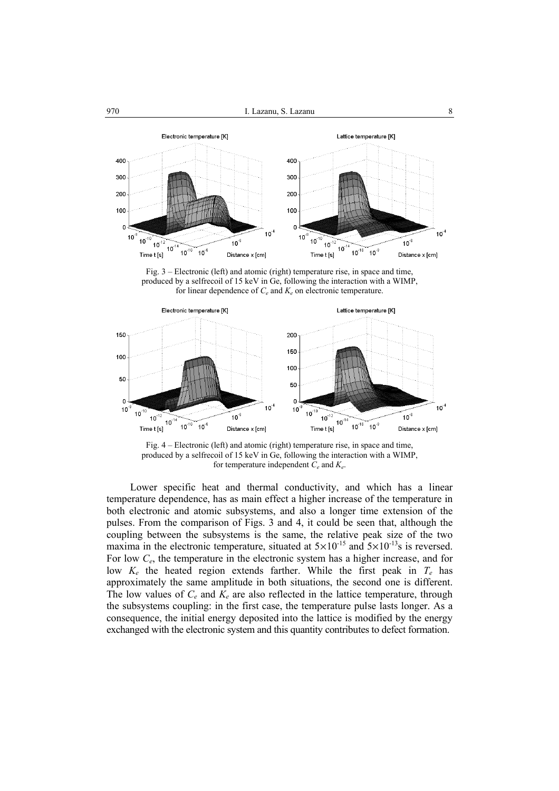

Fig. 3 – Electronic (left) and atomic (right) temperature rise, in space and time, produced by a selfrecoil of 15 keV in Ge, following the interaction with a WIMP, for linear dependence of  $C_e$  and  $K_e$  on electronic temperature.



Fig. 4 – Electronic (left) and atomic (right) temperature rise, in space and time, produced by a selfrecoil of 15 keV in Ge, following the interaction with a WIMP, for temperature independent *Ce* and *Ke*.

Lower specific heat and thermal conductivity, and which has a linear temperature dependence, has as main effect a higher increase of the temperature in both electronic and atomic subsystems, and also a longer time extension of the pulses. From the comparison of Figs. 3 and 4, it could be seen that, although the coupling between the subsystems is the same, the relative peak size of the two maxima in the electronic temperature, situated at  $5\times10^{-15}$  and  $5\times10^{-13}$ s is reversed. For low *Ce*, the temperature in the electronic system has a higher increase, and for low  $K_e$  the heated region extends farther. While the first peak in  $T_e$  has approximately the same amplitude in both situations, the second one is different. The low values of  $C_e$  and  $K_e$  are also reflected in the lattice temperature, through the subsystems coupling: in the first case, the temperature pulse lasts longer. As a consequence, the initial energy deposited into the lattice is modified by the energy exchanged with the electronic system and this quantity contributes to defect formation.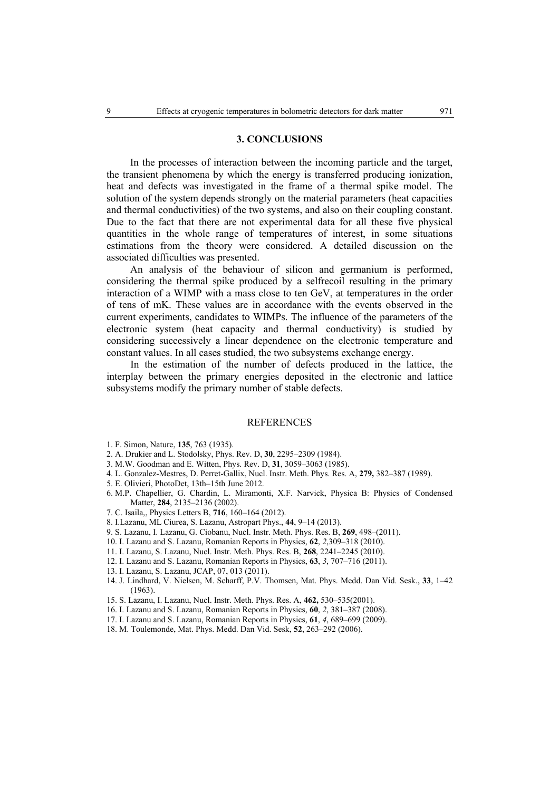### **3. CONCLUSIONS**

In the processes of interaction between the incoming particle and the target, the transient phenomena by which the energy is transferred producing ionization, heat and defects was investigated in the frame of a thermal spike model. The solution of the system depends strongly on the material parameters (heat capacities and thermal conductivities) of the two systems, and also on their coupling constant. Due to the fact that there are not experimental data for all these five physical quantities in the whole range of temperatures of interest, in some situations estimations from the theory were considered. A detailed discussion on the associated difficulties was presented.

An analysis of the behaviour of silicon and germanium is performed, considering the thermal spike produced by a selfrecoil resulting in the primary interaction of a WIMP with a mass close to ten GeV, at temperatures in the order of tens of mK. These values are in accordance with the events observed in the current experiments, candidates to WIMPs. The influence of the parameters of the electronic system (heat capacity and thermal conductivity) is studied by considering successively a linear dependence on the electronic temperature and constant values. In all cases studied, the two subsystems exchange energy.

In the estimation of the number of defects produced in the lattice, the interplay between the primary energies deposited in the electronic and lattice subsystems modify the primary number of stable defects.

#### REFERENCES

- 1. F. Simon, Nature, **135**, 763 (1935).
- 2. A. Drukier and L. Stodolsky, Phys. Rev. D, **30**, 2295–2309 (1984).
- 3. M.W. Goodman and E. Witten, Phys. Rev. D, **31**, 3059–3063 (1985).
- 4. L. Gonzalez-Mestres, D. Perret-Gallix, Nucl. Instr. Meth. Phys. Res. A, **279,** 382–387 (1989).
- 5. E. Olivieri, PhotoDet, 13th–15th June 2012.
- 6. M.P. Chapellier, G. Chardin, L. Miramonti, X.F. Narvick, Physica B: Physics of Condensed Matter, **284**, 2135–2136 (2002).
- 7. C. Isaila,, Physics Letters B, **716**, 160–164 (2012).
- 8. I.Lazanu, ML Ciurea, S. Lazanu, Astropart Phys., **44**, 9–14 (2013).
- 9. S. Lazanu, I. Lazanu, G. Ciobanu, Nucl. Instr. Meth. Phys. Res. B, **269**, 498–(2011).
- 10. I. Lazanu and S. Lazanu, Romanian Reports in Physics, **62**, *2*,309–318 (2010).
- 11. I. Lazanu, S. Lazanu, Nucl. Instr. Meth. Phys. Res. B, **268**, 2241–2245 (2010).
- 12. I. Lazanu and S. Lazanu, Romanian Reports in Physics, **63**, *3*, 707–716 (2011).
- 13. I. Lazanu, S. Lazanu, JCAP, 07, 013 (2011).
- 14. J. Lindhard, V. Nielsen, M. Scharff, P.V. Thomsen, Mat. Phys. Medd. Dan Vid. Sesk., **33**, 1–42 (1963).
- 15. S. Lazanu, I. Lazanu, Nucl. Instr. Meth. Phys. Res. A, **462,** 530–535(2001).
- 16. I. Lazanu and S. Lazanu, Romanian Reports in Physics, **60**, *2*, 381–387 (2008).
- 17. I. Lazanu and S. Lazanu, Romanian Reports in Physics, **61**, *4*, 689–699 (2009).
- 18. M. Toulemonde, Mat. Phys. Medd. Dan Vid. Sesk, **52**, 263–292 (2006).